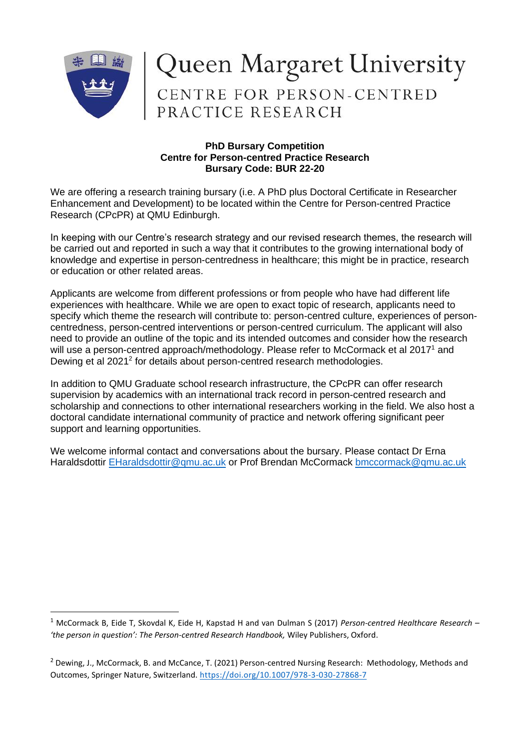

## Queen Margaret University<br>CENTRE FOR PERSON-CENTRED<br>PRACTICE RESEARCH

## **PhD Bursary Competition Centre for Person-centred Practice Research Bursary Code: BUR 22-20**

We are offering a research training bursary (i.e. A PhD plus Doctoral Certificate in Researcher Enhancement and Development) to be located within the Centre for Person-centred Practice Research (CPcPR) at QMU Edinburgh.

In keeping with our Centre's research strategy and our revised research themes, the research will be carried out and reported in such a way that it contributes to the growing international body of knowledge and expertise in person-centredness in healthcare; this might be in practice, research or education or other related areas.

Applicants are welcome from different professions or from people who have had different life experiences with healthcare. While we are open to exact topic of research, applicants need to specify which theme the research will contribute to: person-centred culture, experiences of personcentredness, person-centred interventions or person-centred curriculum. The applicant will also need to provide an outline of the topic and its intended outcomes and consider how the research will use a person-centred approach/methodology. Please refer to McCormack et al 2017<sup>1</sup> and Dewing et al 2021<sup>2</sup> for details about person-centred research methodologies.

In addition to QMU Graduate school research infrastructure, the CPcPR can offer research supervision by academics with an international track record in person-centred research and scholarship and connections to other international researchers working in the field. We also host a doctoral candidate international community of practice and network offering significant peer support and learning opportunities.

We welcome informal contact and conversations about the bursary. Please contact Dr Erna Haraldsdottir [EHaraldsdottir@qmu.ac.uk](mailto:EHaraldsdottir@qmu.ac.uk) or Prof Brendan McCormack [bmccormack@qmu.ac.uk](mailto:bmccormack@qmu.ac.uk)

<sup>1</sup> McCormack B, Eide T, Skovdal K, Eide H, Kapstad H and van Dulman S (2017) *Person-centred Healthcare Research – 'the person in question': The Person-centred Research Handbook,* Wiley Publishers, Oxford.

 $2$  Dewing, J., McCormack, B. and McCance, T. (2021) Person-centred Nursing Research: Methodology, Methods and Outcomes, Springer Nature, Switzerland[. https://doi.org/10.1007/978-3-030-27868-7](https://doi.org/10.1007/978-3-030-27868-7)